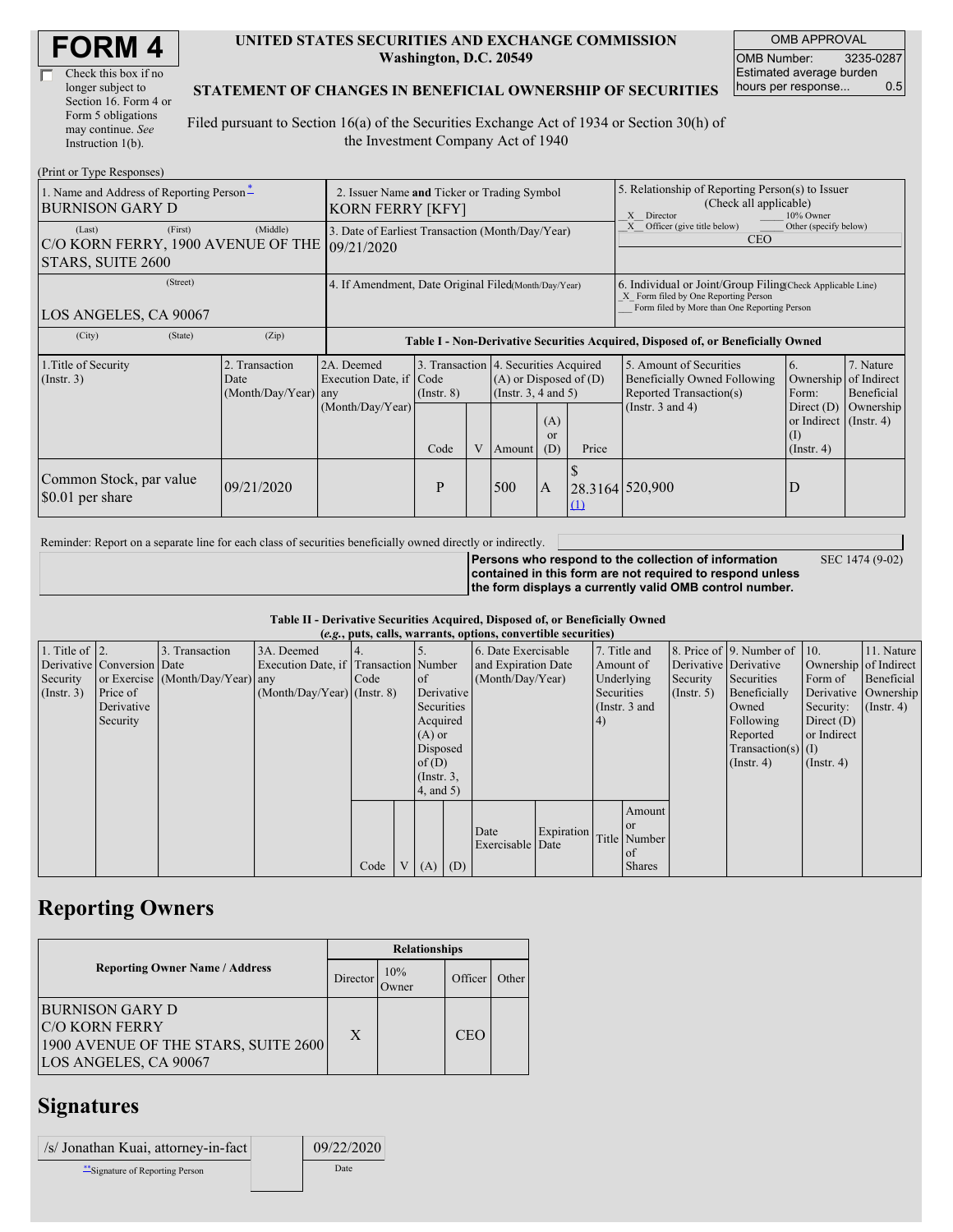| <b>FORM4</b> |
|--------------|
|--------------|

| Check this box if no  |
|-----------------------|
| longer subject to     |
| Section 16. Form 4 or |
| Form 5 obligations    |
| may continue. See     |
| Instruction $1(b)$ .  |

#### **UNITED STATES SECURITIES AND EXCHANGE COMMISSION Washington, D.C. 20549**

OMB APPROVAL OMB Number: 3235-0287 Estimated average burden hours per response... 0.5

### **STATEMENT OF CHANGES IN BENEFICIAL OWNERSHIP OF SECURITIES**

Filed pursuant to Section 16(a) of the Securities Exchange Act of 1934 or Section 30(h) of the Investment Company Act of 1940

| (Print or Type Responses)                                                               |                                                                        |                                                                                  |                                 |                                                                                                                                               |     |                |                                                                                                                                                    |                                                                                        |                                                     |  |
|-----------------------------------------------------------------------------------------|------------------------------------------------------------------------|----------------------------------------------------------------------------------|---------------------------------|-----------------------------------------------------------------------------------------------------------------------------------------------|-----|----------------|----------------------------------------------------------------------------------------------------------------------------------------------------|----------------------------------------------------------------------------------------|-----------------------------------------------------|--|
| 1. Name and Address of Reporting Person-<br><b>BURNISON GARY D</b>                      | 2. Issuer Name and Ticker or Trading Symbol<br><b>KORN FERRY [KFY]</b> |                                                                                  |                                 |                                                                                                                                               |     |                | 5. Relationship of Reporting Person(s) to Issuer<br>(Check all applicable)<br>10% Owner<br>X Director                                              |                                                                                        |                                                     |  |
| (First)<br>(Last)<br>C/O KORN FERRY, 1900 AVENUE OF THE 09/21/2020<br>STARS, SUITE 2600 | (Middle)                                                               | 3. Date of Earliest Transaction (Month/Day/Year)                                 |                                 |                                                                                                                                               |     |                | Officer (give title below)<br>Other (specify below)<br><b>CEO</b>                                                                                  |                                                                                        |                                                     |  |
| (Street)<br>LOS ANGELES, CA 90067                                                       | 4. If Amendment, Date Original Filed(Month/Day/Year)                   |                                                                                  |                                 |                                                                                                                                               |     |                | 6. Individual or Joint/Group Filing Check Applicable Line)<br>X Form filed by One Reporting Person<br>Form filed by More than One Reporting Person |                                                                                        |                                                     |  |
| (City)<br>(State)                                                                       | (Zip)                                                                  | Table I - Non-Derivative Securities Acquired, Disposed of, or Beneficially Owned |                                 |                                                                                                                                               |     |                |                                                                                                                                                    |                                                                                        |                                                     |  |
| 1. Title of Security<br>(Insert. 3)                                                     | 2. Transaction<br>Date<br>(Month/Day/Year) any                         | 2A. Deemed<br>Execution Date, if<br>(Month/Day/Year)                             | Code<br>$($ Instr. $8)$<br>Code | 3. Transaction 4. Securities Acquired<br>$(A)$ or Disposed of $(D)$<br>(Instr. $3, 4$ and $5$ )<br>(A)<br><sub>or</sub><br>V<br>(D)<br>Amount |     | Price          | 5. Amount of Securities<br>Beneficially Owned Following<br>Reported Transaction(s)<br>(Instr. $3$ and $4$ )                                        | 6.<br>Ownership<br>Form:<br>Direct $(D)$<br>or Indirect (Instr. 4)<br>$($ Instr. 4 $)$ | 7. Nature<br>of Indirect<br>Beneficial<br>Ownership |  |
| Common Stock, par value<br>\$0.01 per share                                             | 09/21/2020                                                             |                                                                                  | P                               |                                                                                                                                               | 500 | $\overline{A}$ | $\Omega$                                                                                                                                           | 28.3164 520,900                                                                        | D                                                   |  |

Reminder: Report on a separate line for each class of securities beneficially owned directly or indirectly.

**Persons who respond to the collection of information contained in this form are not required to respond unless the form displays a currently valid OMB control number.** SEC 1474 (9-02)

#### **Table II - Derivative Securities Acquired, Disposed of, or Beneficially Owned (***e.g.***, puts, calls, warrants, options, convertible securities)**

|                        | $(c, \zeta, \mu, \zeta)$ cans, warrants, options, convertible securities) |                                  |                                       |      |  |                 |                     |                  |              |            |                       |                              |                       |                  |                      |
|------------------------|---------------------------------------------------------------------------|----------------------------------|---------------------------------------|------|--|-----------------|---------------------|------------------|--------------|------------|-----------------------|------------------------------|-----------------------|------------------|----------------------|
| 1. Title of $\vert$ 2. |                                                                           | 3. Transaction                   | 3A. Deemed                            |      |  |                 | 6. Date Exercisable |                  | 7. Title and |            |                       | 8. Price of 9. Number of 10. |                       | 11. Nature       |                      |
|                        | Derivative Conversion Date                                                |                                  | Execution Date, if Transaction Number |      |  |                 | and Expiration Date |                  | Amount of    |            | Derivative Derivative |                              | Ownership of Indirect |                  |                      |
| Security               |                                                                           | or Exercise (Month/Day/Year) any |                                       | Code |  | of              |                     | (Month/Day/Year) |              | Underlying |                       | Security                     | Securities            | Form of          | Beneficial           |
| (Insert. 3)            | Price of                                                                  |                                  | $(Month/Day/Year)$ (Instr. 8)         |      |  |                 | Derivative          |                  |              | Securities |                       | $($ Instr. 5)                | Beneficially          |                  | Derivative Ownership |
|                        | Derivative                                                                |                                  |                                       |      |  | Securities      |                     |                  |              |            | (Instr. 3 and         |                              | Owned                 | Security:        | $($ Instr. 4)        |
|                        | Security                                                                  |                                  |                                       |      |  | Acquired        |                     |                  |              | 4)         |                       |                              | Following             | Direct $(D)$     |                      |
|                        |                                                                           |                                  |                                       |      |  | $(A)$ or        |                     |                  |              |            |                       |                              | Reported              | or Indirect      |                      |
|                        |                                                                           |                                  |                                       |      |  | Disposed        |                     |                  |              |            |                       |                              | $Transaction(s)$ (I)  |                  |                      |
|                        |                                                                           |                                  |                                       |      |  | of $(D)$        |                     |                  |              |            |                       |                              | $($ Instr. 4)         | $($ Instr. 4 $)$ |                      |
|                        |                                                                           |                                  |                                       |      |  | $($ Instr. 3,   |                     |                  |              |            |                       |                              |                       |                  |                      |
|                        |                                                                           |                                  |                                       |      |  | $4$ , and $5$ ) |                     |                  |              |            |                       |                              |                       |                  |                      |
|                        |                                                                           |                                  |                                       |      |  |                 |                     |                  |              |            | Amount                |                              |                       |                  |                      |
|                        |                                                                           |                                  |                                       |      |  |                 |                     | Date             | Expiration   |            | <sub>or</sub>         |                              |                       |                  |                      |
|                        |                                                                           |                                  |                                       |      |  |                 |                     | Exercisable Date |              |            | Title Number          |                              |                       |                  |                      |
|                        |                                                                           |                                  |                                       |      |  |                 |                     |                  |              |            | $\alpha$ f            |                              |                       |                  |                      |
|                        |                                                                           |                                  |                                       | Code |  | V(A)            | (D)                 |                  |              |            | <b>Shares</b>         |                              |                       |                  |                      |

## **Reporting Owners**

|                                                                                                                  | <b>Relationships</b> |               |            |       |  |  |  |
|------------------------------------------------------------------------------------------------------------------|----------------------|---------------|------------|-------|--|--|--|
| <b>Reporting Owner Name / Address</b>                                                                            | Director             | 10%<br>Dwner: | Officer    | Other |  |  |  |
| <b>BURNISON GARY D</b><br><b>C/O KORN FERRY</b><br>1900 AVENUE OF THE STARS, SUITE 2600<br>LOS ANGELES, CA 90067 | X                    |               | <b>CEO</b> |       |  |  |  |

## **Signatures**

| /s/ Jonathan Kuai, attorney-in-fact | 09/22/2020 |
|-------------------------------------|------------|
| Signature of Reporting Person       | Date       |